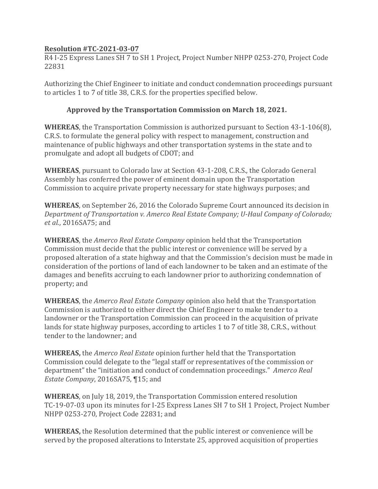## **Resolution #TC-2021-03-07**

R4 I-25 Express Lanes SH 7 to SH 1 Project, Project Number NHPP 0253-270, Project Code 22831

Authorizing the Chief Engineer to initiate and conduct condemnation proceedings pursuant to articles 1 to 7 of title 38, C.R.S. for the properties specified below.

## **Approved by the Transportation Commission on March 18, 2021.**

**WHEREAS**, the Transportation Commission is authorized pursuant to Section 43-1-106(8), C.R.S. to formulate the general policy with respect to management, construction and maintenance of public highways and other transportation systems in the state and to promulgate and adopt all budgets of CDOT; and

**WHEREAS**, pursuant to Colorado law at Section 43-1-208, C.R.S., the Colorado General Assembly has conferred the power of eminent domain upon the Transportation Commission to acquire private property necessary for state highways purposes; and

**WHEREAS**, on September 26, 2016 the Colorado Supreme Court announced its decision in *Department of Transportation v. Amerco Real Estate Company; U-Haul Company of Colorado; et al.*, 2016SA75; and

**WHEREAS**, the *Amerco Real Estate Company* opinion held that the Transportation Commission must decide that the public interest or convenience will be served by a proposed alteration of a state highway and that the Commission's decision must be made in consideration of the portions of land of each landowner to be taken and an estimate of the damages and benefits accruing to each landowner prior to authorizing condemnation of property; and

**WHEREAS**, the *Amerco Real Estate Company* opinion also held that the Transportation Commission is authorized to either direct the Chief Engineer to make tender to a landowner or the Transportation Commission can proceed in the acquisition of private lands for state highway purposes, according to articles 1 to 7 of title 38, C.R.S., without tender to the landowner; and

**WHEREAS,** the *Amerco Real Estate* opinion further held that the Transportation Commission could delegate to the "legal staff or representatives of the commission or department" the "initiation and conduct of condemnation proceedings." *Amerco Real Estate Company*, 2016SA75, ¶15; and

**WHEREAS**, on July 18, 2019, the Transportation Commission entered resolution TC-19-07-03 upon its minutes for I-25 Express Lanes SH 7 to SH 1 Project, Project Number NHPP 0253-270, Project Code 22831; and

**WHEREAS,** the Resolution determined that the public interest or convenience will be served by the proposed alterations to Interstate 25, approved acquisition of properties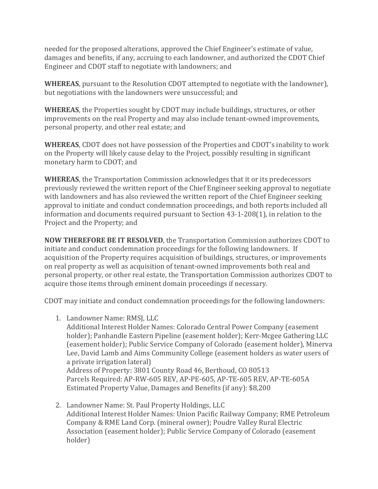needed for the proposed alterations, approved the Chief Engineer's estimate of value, damages and benefits, if any, accruing to each landowner, and authorized the CDOT Chief Engineer and CDOT staff to negotiate with landowners; and

**WHEREAS**, pursuant to the Resolution CDOT attempted to negotiate with the landowner), but negotiations with the landowners were unsuccessful; and

**WHEREAS**, the Properties sought by CDOT may include buildings, structures, or other improvements on the real Property and may also include tenant-owned improvements, personal property, and other real estate; and

**WHEREAS**, CDOT does not have possession of the Properties and CDOT's inability to work on the Property will likely cause delay to the Project, possibly resulting in significant monetary harm to CDOT; and

**WHEREAS**, the Transportation Commission acknowledges that it or its predecessors previously reviewed the written report of the Chief Engineer seeking approval to negotiate with landowners and has also reviewed the written report of the Chief Engineer seeking approval to initiate and conduct condemnation proceedings, and both reports included all information and documents required pursuant to Section 43-1-208(1), in relation to the Project and the Property; and

**NOW THEREFORE BE IT RESOLVED**, the Transportation Commission authorizes CDOT to initiate and conduct condemnation proceedings for the following landowners. If acquisition of the Property requires acquisition of buildings, structures, or improvements on real property as well as acquisition of tenant-owned improvements both real and personal property, or other real estate, the Transportation Commission authorizes CDOT to acquire those items through eminent domain proceedings if necessary.

CDOT may initiate and conduct condemnation proceedings for the following landowners:

1. Landowner Name: RMSJ, LLC

Additional Interest Holder Names: Colorado Central Power Company (easement holder); Panhandle Eastern Pipeline (easement holder); Kerr-Mcgee Gathering LLC (easement holder); Public Service Company of Colorado (easement holder), Minerva Lee, David Lamb and Aims Community College (easement holders as water users of a private irrigation lateral) Address of Property: 3801 County Road 46, Berthoud, CO 80513 Parcels Required: AP-RW-605 REV, AP-PE-605, AP-TE-605 REV, AP-TE-605A Estimated Property Value, Damages and Benefits (if any): \$8,200

2. Landowner Name: St. Paul Property Holdings, LLC Additional Interest Holder Names: Union Pacific Railway Company; RME Petroleum Company & RME Land Corp. (mineral owner); Poudre Valley Rural Electric Association (easement holder); Public Service Company of Colorado (easement holder)